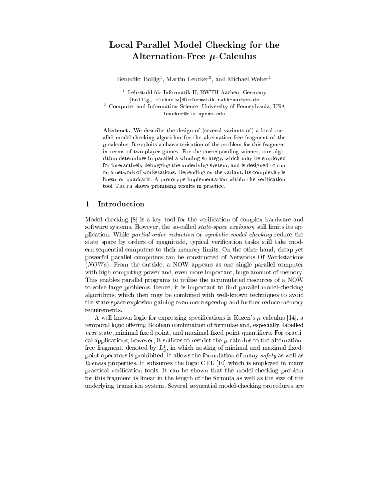## Local Parallel Model Checking for the Alternation-Free  $\mu$ -Calculus

Benedikt Bollig", Martin Leucker-, and Michael Weber-

<sup>1</sup> Lehrstuhl fur Informatik II, RWTH Aachen, Germany {bollig, michaelw}@informatik.rwth-aachen.de <sup>2</sup> Computer and Information Science, University of Pennsylvania, USA

leucker@cis.upenn.edu

Abstract. We describe the design of (several variants of) a local parallel model-checking algorithm for the alternation-free fragment of the  $\mu$ -calculus. It exploits a characterisation of the problem for this fragment in terms of two-player games. For the corresponding winner, our algorithm determines in parallel a winning strategy, which may be employed for interactively debugging the underlying system, and is designed to run on a network of workstations. Depending on the variant, its complexity is linear or quadratic. A prototype implementation within the verication tool Truth shows promising results in practice.

### 1Introduction

Model checking [8] is a key tool for the verification of complex hardware and software systems. However, the so-called *state-space explosion* still limits its application. While *partial-order reduction* or *symbolic model checking* reduce the state space by orders of magnitude, typical verification tasks still take modern sequential computers to their memory limits. On the other hand, cheap yet powerful parallel computers can be constructed of Networks Of Workstations  $(NOW)$ . From the outside, a NOW appears as one single parallel computer with high computing power and, even more important, huge amount of memory. This enables parallel programs to utilise the accumulated resources of a NOW to solve large problems. Hence, it is important to find parallel model-checking algorithms, which then may be combined with well-known techniques to avoid the state-space explosion gaining even more speedup and further reduce memory requirements.

A well-known logic for expressing specifications is Kozen's  $\mu$ -calculus [14], a temporal logic offering Boolean combination of formulae and, especially, labelled  $next$ -state, minimal fixed-point, and maximal fixed-point quantifiers. For practical applications, however, it suffices to restrict the  $\mu$ -calculus to the alternationfree fragment, denoted by  $L^*_\mu,$  in which nesting of minimal and maximal fixedpoint operators is prohibited. It allows the formulation of many safety as well as liveness properties. It subsumes the logic CTL [10] which is employed in many practical verication tools. It can be shown that the model-checking problem for this fragment is linear in the length of the formula as well as the size of the underlying transition system. Several sequential model-checking procedures are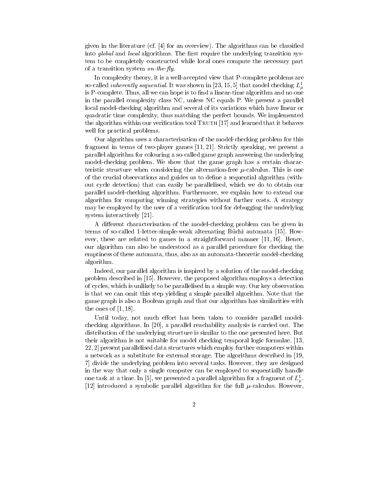given in the literature (cf. [4] for an overview). The algorithms can be classied into *global* and *local* algorithms. The first require the underlying transition system to be completely constructed while local ones compute the necessary part of a transition system on-the-fly.

In complexity theory, it is a well-accepted view that P-complete problems are so-called *inherently sequential*. It was shown in [23, 15, 5] that model checking  $L^1_{\mu}$  $\mathcal{L}$  . The contract of the contract of the contract of the contract of the contract of the contract of the contract of the contract of the contract of the contract of the contract of the contract of the contract of th is P-complete. Thus, all we can hope is to find a linear-time algorithm and no one in the parallel complexity class NC, unless NC equals P. We present a parallel local model-checking algorithm and several of its variations which have linear or quadratic time complexity, thus matching the perfect bounds. We implemented the algorithm within our verification tool  $TRUTH$  [17] and learned that it behaves well for practical problems.

Our algorithm uses a characterisation of the model-checking problem for this fragment in terms of two-player games [11, 21]. Strictly speaking, we present a parallel algorithm for colouring a so-called game graph answering the underlying model-checking problem. We show that the game graph has a certain characteristic structure when considering the alternation-free  $\mu$ -calculus. This is one of the crucial observations and guides us to define a sequential algorithm (without cycle detection) that can easily be parallelised, which we do to obtain our parallel model-checking algorithm. Furthermore, we explain how to extend our algorithm for computing winning strategies without further costs. A strategy may be employed by the user of a verication tool for debugging the underlying system interactively [21].

A different characterisation of the model-checking problem can be given in terms of so-called 1-letter-simple-weak alternating Buchi automata [15]. How ever, these are related to games in a straightforward manner [11, 16]. Hence, our algorithm can also be understood as a parallel procedure for checking the emptiness of these automata, thus, also as an automata-theoretic model-checking algorithm.

Indeed, our parallel algorithm is inspired by a solution of the model-checking problem described in [15]. However, the proposed algorithm employs a detection of cycles, which is unlikely to be parallelised in a simple way. Our key observation is that we can omit this step yielding a simple parallel algorithm. Note that the game graph is also a Boolean graph and that our algorithm has similarities with the ones of [1, 18].

Until today, not much effort has been taken to consider parallel modelchecking algorithms. In [20], a parallel reachability analysis is carried out. The distribution of the underlying structure is similar to the one presented here. But their algorithm is not suitable for model checking temporal logic formulae. [13, 22, 2] present parallelised data structures which employ further computers within a network as a substitute for external storage. The algorithms described in [19, 7] divide the underlying problem into several tasks. However, they are designed in the way that only a single computer can be employed to sequentially handle one task at a time. In  $[5]$ , we presented a parallel algorithm for a fragment of  $L_\mu^r$ . [12] introduced a symbolic parallel algorithm for the full  $\mu$ -calculus. However,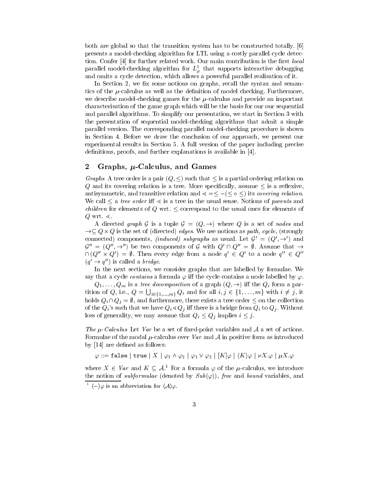both are global so that the transition system has to be constructed totally. [6] presents a model-checking algorithm for LTL using a costly parallel cycle detection. Confer [4] for further related work. Our main contribution is the first local parallel model-checking algorithm for  $L^u_u$  that supports interactive debugging and omits a cycle detection, which allows a powerful parallel realisation of it.

In Section 2, we fix some notions on graphs, recall the syntax and semantics of the  $\mu$ -calculus as well as the definition of model checking. Furthermore, we describe model-checking games for the  $\mu$ -calculus and provide an important characterisation of the game graph which will be the basis for our our sequential and parallel algorithms. To simplify our presentation, we start in Section 3 with the presentation of sequential model-checking algorithms that admit a simple parallel version. The corresponding parallel model-checking procedure is shown in Section 4. Before we draw the conclusion of our approach, we present our experimental results in Section 5. A full version of the paper including precise definitions, proofs, and further explanations is available in [4].

## 2Graphs,  $\mu$ -Calculus, and Games

Graphs A tree order is a pair of pair (Q; ) such that  $\alpha$  pair  $\alpha$  particles is a particle of  $\alpha$ Q and its covering relation is a tree. More specifically, assume  $\leq$  is a reflexive, antisymmetric, and transitive relation and  $\leq \leq -(\leq \circ \leq)$  its covering relation. We call  $\leq$  a tree order iff  $\leq$  is a tree in the usual sense. Notions of parents and children for elements of <sup>Q</sup> wrt. correspond to the usual ones for elements of Q wrt.  $\leq$ .

A directed graph G is a tuple  $G = (Q, \rightarrow)$  where Q is a set of nodes and . The set of the set of  $\alpha$  is the set of  $\alpha$  is the set of  $\alpha$  as as path, cycle, (strongly, and connected) components, *(induced)* subgraphs as usual. Let  $G' = (Q', \rightarrow')$  and  $\mathcal{G}'' = (Q'', \rightarrow'')$  be two components of G with  $Q' \cap Q'' = \emptyset$ . Assume that  $\rightarrow$  $\cap$   $(O'' \times O') = \emptyset$ . Then every edge from a node  $g' \in O'$  to a node  $g'' \in O''$  $(q' \rightarrow q'')$  is called a *bridge*.

In the next sections, we consider graphs that are labelled by formulae. We say that a cycle *contains* a formula  $\varphi$  iff the cycle contains a node labelled by  $\varphi$ .

 $Q_1,\ldots,Q_m$  is a tree decomposition of a graph  $(Q,\rightarrow)$  iff the  $Q_i$  form a partition of  $Q$ , i.e.,  $Q = \bigcup_{i \in \{1,...,m\}} Q_i$  and for all  $i,j \in \{1,\ldots,m\}$  with  $i \neq j,$  it holds  $Q_i \cap Q_j = \emptyset$ , and furthermore, there exists a tree order  $\leq$  on the collection of the  $Q_i$ 's such that we have  $Q_i \ll Q_j$  iff there is a bridge from  $Q_i$  to  $Q_j$ . Without loss of generality, we may assume that  $Q_i \le Q_j$  implies  $i \le j$ .

The -Calculus Let Var be a set of xed-point variables and <sup>A</sup> a set of actions. Formulae of the modal  $\mu$ -calculus over Var and A in positive form as introduced by  $[14]$  are defined as follows:

 $\varphi ::=$  false | true  $| X | \varphi_1 \wedge \varphi_2 | \varphi_1 \vee \varphi_2 | [K] \varphi | \langle K \rangle \varphi | \nu X. \varphi | \mu X. \varphi$ 

where  $X \in Var$  and  $K \subseteq \mathcal{A}$ .<sup>1</sup> For a formula  $\varphi$  of the  $\mu$ -calculus, we introduce the notion of *subformulae* (denoted by  $Sub(\varphi)$ ), free and *bound* variables, and

 $\tilde{\phantom{a}}$  (  $\!-\!\gamma\varphi$  is an abbreviation for  $\langle \mathcal{A} \rangle \varphi$  .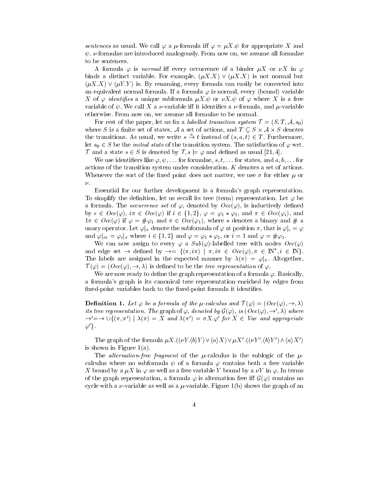sentences as usual. We call  $\varphi$  a  $\mu$ -formula iff  $\varphi = \mu X.\psi$  for appropriate  $X$  and  $\psi$ .  $\nu$ -formulae are introduced analogously. From now on, we assume all formulae to be sentences.

A formula  $\varphi$  is normal iff every occurrence of a binder  $\mu X$  or  $\nu X$  in  $\varphi$ binds a distinct variable. For example,  $(\mu X.X) \vee (\mu X.X)$  is not normal but  $(\mu X.X) \vee (\mu Y.Y)$  is. By renaming, every formula can easily be converted into an equivalent normal formula. If a formula  $\varphi$  is normal, every (bound) variable X of  $\varphi$  *identifies* a unique subformula  $\mu X.\psi$  or  $\nu X.\psi$  of  $\varphi$  where X is a free variable of  $\psi$ . We call X a  $\nu$ -variable iff it identifies a  $\nu$ -formula, and  $\mu$ -variable otherwise. From now on, we assume all formulae to be normal.

For rest of the paper, let us fix a *labelled transition system*  $\mathcal{T} = (S, T, A, s_0)$ where  $\omega$  is a set of states, a set of a set of actions, and T  $\omega$  -  $\omega$  -  $\omega$  -  $\omega$  -  $\omega$  -  $\omega$  -  $\omega$  -  $\omega$ the transitions. As usual, we write  $s \to t$  instead of  $(s, a, t) \in T$ . Furthermore, let  $s_0\in S$  be the *initial state* of the transition system. The satisfaction of  $\varphi$  wrt.  $\mathcal{T}$  and a state  $s \in S$  is denoted by  $\mathcal{T}, s \models \varphi$  and defined as usual [21, 4].

We use identifiers like  $\varphi, \psi, \ldots$  for formulae, s, t,  $\ldots$  for states, and  $a, b, \ldots$  for actions of the transition system under consideration. <sup>K</sup> denotes a set of actions. Whenever the sort of the fixed point does not matter, we use  $\sigma$  for either  $\mu$  or  $\nu$ .

Essential for our further development is a formula's graph representation. To simplify the definition, let us recall its tree (term) representation. Let  $\varphi$  be a formula. The *occurrence set* of  $\varphi$ , denoted by  $Occ(\varphi)$ , is inductively defined by  $\epsilon \in \text{Occ}(\varphi)$ ,  $i\pi \in \text{Occ}(\varphi)$  if  $i \in \{1, 2\}$ ,  $\varphi = \varphi_1 \star \varphi_2$ , and  $\pi \in \text{Occ}(\varphi_i)$ , and  $1\pi \in Occ(\varphi)$  if  $\varphi = \#\varphi_1$  and  $\pi \in Occ(\varphi_1)$ , where  $\star$  denotes a binary and  $\#$  a unary operator. Let  $\varphi|_{\pi}$  denote the subformula of  $\varphi$  at position  $\pi$ , that is  $\varphi|_{\epsilon} = \varphi$ and  $\varphi|_{i\pi} = \varphi_{i|\pi}$  where  $i \in \{1, 2\}$  and  $\varphi = \varphi_1 \star \varphi_2$ , or  $i = 1$  and  $\varphi = \#\varphi_1$ .

We can now assign to every  $\varphi$  a  $Sub(\varphi)$ -labelled tree with nodes  $Occ(\varphi)$ and edge set  $\rightarrow$  defined by  $\rightarrow = \{(\pi, i\pi) \mid \pi, i\pi \in \text{Occ}(\varphi), \pi \in \mathbb{N}^*, i \in \mathbb{N}\}.$ The labels are assigned in the expected manner by  $\lambda(\pi) = \varphi|_{\pi}$ . Altogether,  $\mathcal{T}(\varphi)=(\mathit{Occ}(\varphi), \rightarrow, \lambda)$  is defined to be the *tree representation* of  $\varphi$ .

We are now ready to define the graph representation of a formula  $\varphi$ . Basically, a formula's graph is its canonical tree representation enriched by edges from fixed-point variables back to the fixed-point formula it identifies.

**Definition 1.** Let  $\varphi$  be a formula of the  $\mu$ -calculus and  $\mathcal{I}(\varphi)=(\mathit{Occ}(\varphi), \rightarrow, \lambda)$ its tree representation. The graph of  $\varphi$ , denoted by  $\mathcal{G}(\varphi)$ , is  $(Occ(\varphi), \rightarrow', \lambda)$  where  $\rightarrow'=\rightarrow \cup \{(\pi, \pi') \mid \lambda(\pi) = X \text{ and } \lambda(\pi') = \sigma X.\varphi' \text{ for } X \in \mathit{Var} \text{ and appropriate} \}$  $\varphi'$ .<br>The graph of the formula  $\mu X.((\nu Y.\langle b\rangle Y) \vee \langle a\rangle X) \vee \mu X'.((\nu Y'.\langle b\rangle Y') \wedge \langle a\rangle X')$ 

is shown in Figure  $1(a)$ .

The *alternation-free fragment* of the  $\mu$ -calculus is the sublogic of the  $\mu$ calculus where no subformula  $\psi$  of a formula  $\varphi$  contains both a free variable X bound by a  $\mu X$  in  $\varphi$  as well as a free variable Y bound by a  $\nu Y$  in  $\varphi$ . In terms of the graph representation, a formula  $\varphi$  is alternation free iff  $\mathcal{G}(\varphi)$  contains no cycle with a  $\nu$ -variable as well as a  $\mu$ -variable. Figure 1(b) shows the graph of an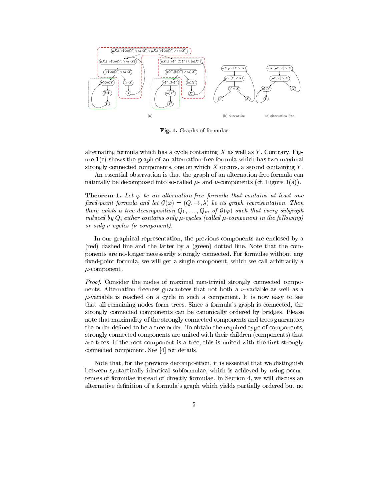

Fig. 1. Graphs of formulae

alternating formula which has a cycle containing  $X$  as well as  $Y$ . Contrary, Figure 1(c) shows the graph of an alternation-free formula which has two maximal strongly connected components, one on which  $X$  occurs, a second containing  $Y$ .

An essential observation is that the graph of an alternation-free formula can naturally be decomposed into so-called  $\mu$ - and  $\nu$ -components (cf. Figure 1(a)).

**Theorem 1.** Let  $\varphi$  be an alternation-free formula that contains at least one fixed-point formula and let  $\mathcal{G}(\varphi)=(Q,\rightarrow ,\lambda)$  be its graph representation. Then there exists a tree aecomposition  $Q_1,\ldots,Q_m$  of  $\mathcal{G}(\varphi)$  such that every subgraph  $i$ nduced by  $Q_i$  either contains only  $\mu$ -cycles (called  $\mu$ -component in the following) or only -cycles (-component).

In our graphical representation, the previous components are enclosed by a (red) dashed line and the latter by a (green) dotted line. Note that the components are no-longer necessarily strongly connected. For formulae without any fixed-point formula, we will get a single component, which we call arbitrarily a  $\mu$ -component.

Proof. Consider the nodes of maximal non-trivial strongly connected components. Alternation freeness guarantees that not both a  $\nu$ -variable as well as a  $\mu$ -variable is reached on a cycle in such a component. It is now easy to see that all remaining nodes form trees. Since a formula's graph is connected, the strongly connected components can be canonically ordered by bridges. Please note that maximality of the strongly connected components and trees guarantees the order defined to be a tree order. To obtain the required type of components, strongly connected components are united with their children (components) that are trees. If the root component is a tree, this is united with the first strongly connected component. See [4] for details.

Note that, for the previous decomposition, it is essential that we distinguish between syntactically identical subformulae, which is achieved by using occurrences of formulae instead of directly formulae. In Section 4, we will discuss an alternative definition of a formula's graph which yields partially ordered but no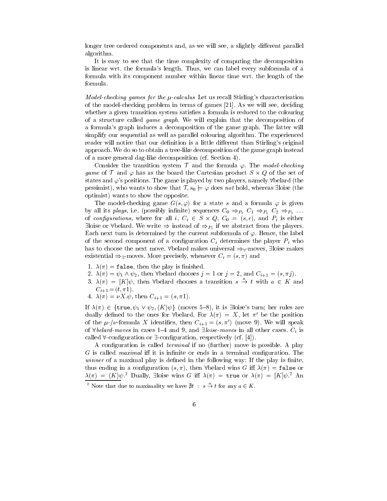longer tree ordered components and, as we will see, a slightly different parallel algorithm.

It is easy to see that the time complexity of computing the decomposition is linear wrt. the formula's length. Thus, we can label every subformula of a formula with its component number within linear time wrt. the length of the formula.

*Model-checking games for the*  $\mu$ *-calculus* Let us recall Stirling's characterisation of the model-checking problem in terms of games [21]. As we will see, deciding whether a given transition system satisfies a formula is reduced to the colouring of a structure called game graph. We will explain that the decomposition of a formula's graph induces a decomposition of the game graph. The latter will simplify our sequential as well as parallel colouring algorithm. The experienced reader will notice that our definition is a little different than Stirling's original approach. We do so to obtain a tree-like decomposition of the game graph instead of a more general dag-like decomposition (cf. Section 4).

Consider the transition system  $\mathcal T$  and the formula  $\varphi$ . The model-checking game of f and  $\varphi$  has as the board the Cartesian product  $S \times Q$  of the set of states and  $\varphi$ 's positions. The game is played by two players, namely  $\forall$ belard (the pessimist), who wants to show that  $T, s_0 \models \varphi$  does not hold, whereas floise (the optimist) wants to show the opposite.

The model-checking game  $G(s, \varphi)$  for a state s and a formula  $\varphi$  is given by all its plays, i.e. (possibly interest) sequences CO  $\times$ 10 C1  $\times$ 1  $\times$ 2  $\times$ 12  $\times$ : of congregation of where for an  $\alpha_i \circ \gamma_i \in S$  such  $\alpha_i \circ \gamma_i$  and  $\alpha_i \circ \gamma_i$  is either Hoise or  $\forall$  belard. We write  $\Rightarrow$  instead of  $\Rightarrow_{P_i}$  if we abstract from the players. Each next turn is determined by the current subformula of  $\varphi$ . Hence, the label of the second component of a configuration  $C_i$  determines the player  $P_i$  who has to choose the next move.  $\forall$ belard makes universal  $\Rightarrow$  $\forall$ -moves,  $\exists$ loise makes existential  $\Rightarrow$ <sub>3</sub>-moves. More precisely, whenever  $C_i = (s, \pi)$  and

- 1.  $\lambda(\pi)$  = false, then the play is finished.
- 2. () = 1 ^ 2, then 8belard chooses <sup>j</sup> = 1 or <sup>j</sup> = 2, and Ci+1 = (s; j).
- 3.  $\lambda(\pi) = |K|\psi$ , then  $\forall$  belard chooses a transition  $s \to t$  with  $a \in K$  and  $C_{i+1} = (t, \pi 1).$
- 4.  $\lambda(\pi) = \nu X.\psi$ , then  $C_{i+1} = (s, \pi 1)$ .

If  $\lambda(\pi) \in {\{\text{true}, \psi_1 \vee \psi_2, \langle K \rangle \psi\}}$  (moves 5-8), it is Eloise's turn; her rules are dually defined to the ones for  $\forall$ belard. For  $\lambda(\pi) = X$ , let  $\pi'$  be the position of the  $\mu$ -/ $\nu$ -formula X identifies, then  $C_{i+1} = (s, \pi')$  (move 9). We will speak of  $\forall$ belard-moves in cases 1–4 and 9, and  $\exists$ loise-moves in all other cases.  $C_i$  is called  $\forall$ -configuration or  $\exists$ -configuration, respectively (cf. [4]).

A configuration is called *terminal* if no (further) move is possible. A play  $G$  is called *maximal* iff it is infinite or ends in a terminal configuration. The winner of a maximum play is defined in the following way: If the play is filled. thus ending in a configuration  $(s, \pi)$ , then  $\forall$ belard wins G iff  $\lambda(\pi) = \mathtt{false}$  or  $\lambda(\pi) = \langle K \rangle \psi$ .<sup>2</sup> Dually, Eloise wins G iff  $\lambda(\pi) = \text{true}$  or  $\lambda(\pi) = [K] \psi$ .<sup>2</sup> An

<sup>&</sup>lt;sup>2</sup> Note that due to maximality we have  $\#t : s \rightarrow t$  for any  $a \in K$ .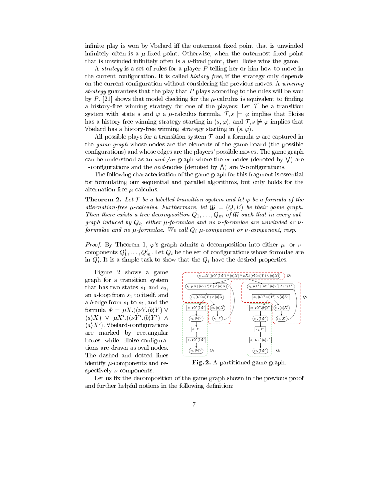infinite play is won by  $\forall$ belard iff the outermost fixed point that is unwinded infinitely often is a  $\mu$ -fixed point. Otherwise, when the outermost fixed point that is unwinded infinitely often is a  $\nu$ -fixed point, then  $\exists$ loise wins the game.

A strategy is a set of rules for a player  $P$  telling her or him how to move in the current configuration. It is called *history free*, if the strategy only depends on the current configuration without considering the previous moves. A winning strategy guarantees that the play that <sup>P</sup> plays according to the rules will be won by P. [21] shows that model checking for the  $\mu$ -calculus is equivalent to finding a history-free winning strategy for one of the players: Let  $\mathcal T$  be a transition system with state s and  $\varphi$  a  $\mu$ -calculus formula.  $\mathcal{T}, s \models \varphi$  implies that Eloise has a history-free winning strategy starting in  $(s, \varphi)$ , and  $\mathcal{T}, s \not\models \varphi$  implies that  $\forall$ belard has a history-free winning strategy starting in  $(s, \varphi)$ .

All possible plays for a transition system T and a formula  $\varphi$  are captured in the *game graph* whose nodes are the elements of the game board (the possible configurations) and whose edges are the players' possible moves. The game graph can be understood as an *and-/or-graph* where the *or-nodes* (denoted by  $V$ ) are  $\exists$ -configurations and the *and*-nodes (denoted by  $\wedge$ ) are  $\forall$ -configurations.

The following characterisation of the game graph for this fragment is essential for formulating our sequential and parallel algorithms, but only holds for the alternation-free  $\mu$ -calculus.

**Theorem 2.** Let I be a labelled transition system and let  $\varphi$  be a formula of the  $\alpha$  alternation-free  $\alpha$  calculus. Furthermore, let  $\mathcal{L}$  be the their game graph. Then there exists a tree accomposition  $Q_1,\ldots,Q_m$  of  $\mathcal{Q}_I$  such that in every sub $g\cdot$  -formulae by  $Q\cdot Q$  , either -formulae and no -formulae are understand or -formulae are -formulae are -formulae are -formulae are -formulae are -formulae are -formulae are -formulae are -formulae are -formulae are formulate and no  $\mu$ -formulate. We call  $Q_i$   $\mu$ -component or  $\nu$ -component, resp.

*Proof.* By Theorem 1,  $\varphi$ 's graph admits a decomposition into either  $\mu$ - or  $\nu$ components  $Q'_1,\ldots,Q'_m$ . Let  $Q_i$  be the set of configurations whose formulae are in  $Q_i'$ . It is a simple task to show that the  $Q_i$  have the desired properties.

Figure 2 shows a game graph for a transition system that has two states states states states states states states states states states in and a-loop from the state from state from the state from the state from the state from the state from the state as b-edge from s1 to 2, and the theory  $\Delta$ formula  $\Phi = \mu X \cdot ((\nu Y \cdot \langle b \rangle Y) \vee$  $\langle a \rangle X$ )  $\vee$   $\mu X'$   $((\nu Y' \langle b \rangle Y') \wedge$  $\langle a \rangle X'$ ).  $\forall$ belard-configurations are marked by rectangular boxes while Eloise-configurations are drawn as oval nodes. The dashed and dotted lines identify  $\mu$ -components and respectively  $\nu$ -components.



Fig. 2. A partitioned game graph.

Let us fix the decomposition of the game graph shown in the previous proof and further helpful notions in the following definition: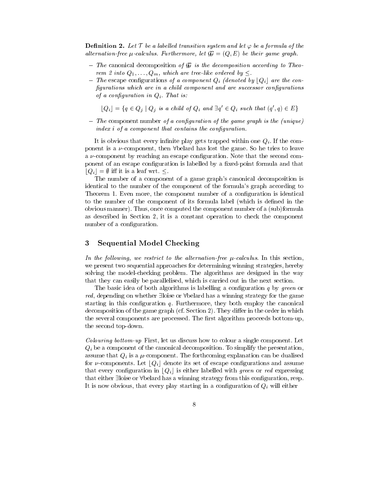$\bf D$ ennition 2. Let f be a labelled transition system and let  $\varphi$  be a formula of the alternation-free  $\mu$ -calculus. Furthermore, let  $\mathcal{Q} = (Q, E)$  be their game graph.

- $\tau$  is canonical decomposition of  $\mathcal{G}_\ell$  is the decomposition according to Theorem 2 into  $Q_1,\ldots,Q_m$ , which are tree-like ordered by  $\sim$ .
- The escape configurations of a component  $Q_i$  (denoted by  $|Q_i|$  are the con $mu$ urations which are in a child component and are successor connuanations of a conguration in Qi . That is:

 $|Q_i| = \{q \in Q_i \mid Q_i$  is a child of  $Q_i$  and  $\exists q' \in Q_i$  such that  $(q', q) \in E\}$ 

 $\tau$  incredition transferred by a component of the game graph is the (unique) index <sup>i</sup> of a component that contains the conguration.

It is obvious that every infinite play gets trapped within one  $Q_i$ . If the component is a  $\nu$ -component, then  $\nabla$ belard has lost the game. So he tries to leave a  $\nu$ -component by reaching an escape configuration. Note that the second component of an escape configuration is labelled by a fixed-point formula and that  $|Q_i| = \emptyset$  iff it is a leaf wrt. <.

The number of a component of a game graph's canonical decomposition is identical to the number of the component of the formula's graph according to Theorem 1. Even more, the component number of a configuration is identical to the number of the component of its formula label (which is defined in the obvious manner). Thus, once computed the component number of a (sub)formula as described in Section 2, it is a constant operation to check the component number of a configuration.

## 3Sequential Model Checking

In the following, we restrict to the alternation-free  $\mu$ -calculus. In this section, we present two sequential approaches for determining winning strategies, hereby solving the model-checking problem. The algorithms are designed in the way that they can easily be parallelised, which is carried out in the next section.

The basic idea of both algorithms is labelling a configuration  $q$  by green or red, depending on whether  $\exists$ loise or  $\forall$ belard has a winning strategy for the game starting in this configuration  $q$ . Furthermore, they both employ the canonical decomposition of the game graph (cf. Section 2). They differ in the order in which the several components are processed. The first algorithm proceeds bottom-up, the second top-down.

Colouring bottom-up First, let us discuss how to colour a single component. Let  $Q_i$  be a component of the canonical decomposition. To simplify the presentation, assume that  $Q_i$  is a  $\mu$ -component. The forthcoming explanation can be dualised for v-components. Let  $[Q_i]$  denote its set of escape configurations and assume that every configuration in  $|Q_i|$  is either labelled with green or red expressing that either Eloise or  $\forall$ belard has a winning strategy from this configuration, resp. It is now obvious, that every play starting in a configuration of  $Q_i$  will either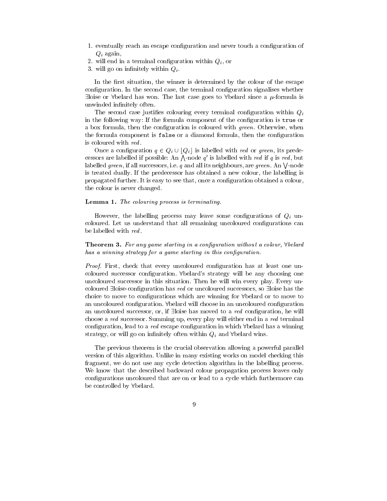- 1. eventually reach an escape configuration and never touch a configuration of  $Q_i$  again,
- 2. will end in a terminal configuration within  $Q_i$ , or
- 3. will go on infinitely within  $Q_i$ .

In the first situation, the winner is determined by the colour of the escape configuration. In the second case, the terminal configuration signalises whether Hoise or  $\forall$ belard has won. The last case goes to  $\forall$ belard since a  $\mu$ -formula is unwinded infinitely often.

The second case justifies colouring every terminal configuration within  $Q_i$ in the following way: If the formula component of the configuration is true or a box formula, then the configuration is coloured with green. Otherwise, when the formula component is false or a diamond formula, then the conguration is coloured with red.<br>Once a configuration  $q \in Q_i \cup [Q_i]$  is labelled with red or green, its prede-

cessors are labelled if possible: An  $\Lambda$ -node q' is labelled with red if q is red, but labelled  $green$ , if all successors, i.e.  $q$  and all its neighbours, are  $green$ . An  $\bigvee$ -node is treated dually. If the predecessor has obtained a new colour, the labelling is propagated further. It is easy to see that, once a configuration obtained a colour, the colour is never changed.

## $\bf L$ emma 1. The colouring process is terminating.

However, the labelling process may leave some configurations of  $Q_i$  uncoloured. Let us understand that all remaining uncoloured congurations can

# be the labelled with red.<br>Theorem 3. For any game starting in a configuration without a colour.  $\forall$  belard has a winning strategy for a game starting in this configuration.

Proof. First, check that every uncoloured conguration has at least one uncoloured successor configuration.  $\forall$ belard's strategy will be any choosing one uncoloured successor in this situation. Then he will win every play. Every uncoloured  $\exists$ loise-configuration has red or uncoloured successors, so  $\exists$ loise has the choice to move to configurations which are winning for  $\forall$ belard or to move to an uncoloured configuration.  $\forall$  belard will choose in an uncoloured configuration an uncoloured successor, or, if  $\exists$  loise has moved to a red configuration, he will choose a red successor. Summing up, every play will either end in a red terminal configuration, lead to a red escape configuration in which  $\forall$  belard has a winning strategy, or will go on infinitely often within  $Q_i$  and  $\forall$ belard wins.

The previous theorem is the crucial observation allowing a powerful parallel version of this algorithm. Unlike in many existing works on model checking this fragment, we do not use any cycle detection algorithm in the labelling process. We know that the described backward colour propagation process leaves only congurations uncoloured that are on or lead to a cycle which furthermore can be controlled by  $\forall$ belard.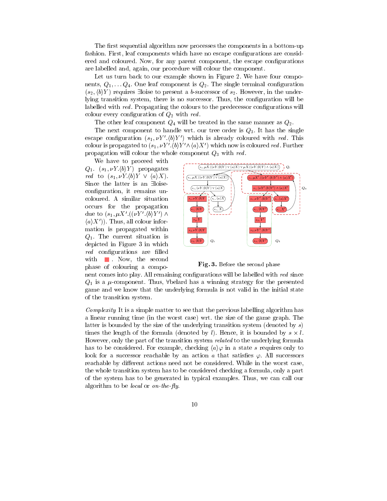The first sequential algorithm now processes the components in a bottom-up fashion. First, leaf components which have no escape congurations are considered and coloured. Now, for any parent component, the escape configurations are labelled and, again, our procedure will colour the component.

Let us turn back to our example shown in Figure 2. We have four components,  $Q_1, \ldots Q_4$ . One leaf component is  $Q_2$ . The single terminal configuration  $(s_2, \langle b \rangle Y)$  requires 3loise to present a b-successor of  $s_2$ . However, in the underlying transition system, there is no successor. Thus, the configuration will be labelled with red. Propagating the colours to the predecessor configurations will colour every configuration of  $Q_2$  with red.

The other leaf component  $Q_4$  will be treated in the same manner as  $Q_2$ .

The next component to handle wrt. our tree order is  $Q_3$ . It has the single escape configuration  $(s_1, \nu Y', \langle b \rangle Y')$  which is already coloured with red. This colour is propagated to  $(s_1, \nu Y' \cdot \langle b \rangle Y' \wedge \langle a \rangle X')$  which now is coloured red. Further propagation will colour the whole component Q3 with red .

We have to proceed with  $Q_1$ .  $(s_1, \nu Y. \langle b \rangle Y)$  propagates  $\mathcal{L}$  is the subset of  $\mathcal{L}$  is the subset of  $\mathcal{L}$ Since the latter is an Eloiseconguration, it remains uncoloured. A similar situation occurs for the propagation due to  $(s_1, \mu X'.((\nu Y'.\langle b \rangle Y') \wedge$  $\langle a \rangle X'$ ). Thus, all colour information is propagated within  $Q_1$ . The current situation is depicted in Figure 3 in which red consequences are second with  $\blacksquare$  Now, the second phase of colouring a compo-



Fig. 3. Before the second phase

nent comes into play. All remaining configurations will be labelled with red since Q1 is <sup>a</sup> -component. Thus, 8belard has <sup>a</sup> winning strategy for the presented game and we know that the underlying formula is not valid in the initial state of the transition system.

Complexity It is a simple matter to see that the previous labelling algorithm has a linear running time (in the worst case) wrt. the size of the game graph. The latter is bounded by the size of the underlying transition system (denoted by s) times the length of the formula (denoted by l). Hence, it is bounded by  $s \times l$ . However, only the part of the transition system related to the underlying formula has to be considered. For example, checking  $\langle a \rangle \varphi$  in a state s requires only to look for a successor reachable by an action a that satisfies  $\varphi$ . All successors reachable by different actions need not be considered. While in the worst case, the whole transition system has to be considered checking a formula, only a part of the system has to be generated in typical examples. Thus, we can call our algorithm to be *local* or *on-the-fly*.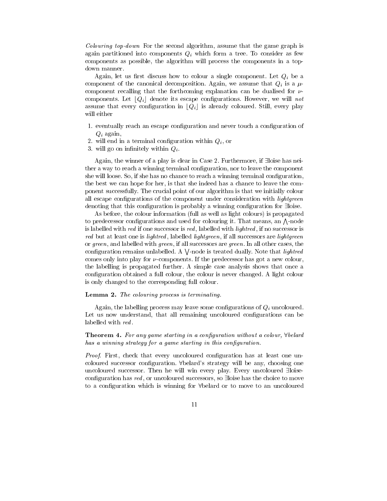Colouring top-down For the second algorithm, assume that the game graph is again partitioned into components  $Q_i$  which form a tree. To consider as few components as possible, the algorithm will process the components in a topdown manner.

Again, let us first discuss how to colour a single component. Let  $Q_i$  be a component of the canonical decomposition. Again, we assume that  $Q_i$  is a  $\mu$ component recalling that the forthcoming explanation can be dualised for  $\nu$ components. Let  $|Q_i|$  denote its escape configurations. However, we will not assume that every configuration in  $[Q_i]$  is already coloured. Still, every play will either

- 1. eventually reach an escape configuration and never touch a configuration of  $Q_i$  again.
- 2. will end in a terminal configuration within  $Q_i$ , or
- 3. will go on infinitely within  $Q_i$ .

Again, the winner of a play is clear in Case 2. Furthermore, if  $\exists$ loise has neither a way to reach a winning terminal configuration, nor to leave the component she will loose. So, if she has no chance to reach a winning terminal configuration, the best we can hope for her, is that she indeed has a chance to leave the component successfully. The crucial point of our algorithm is that we initially colour all escape configurations of the component under consideration with *lightgreen* denoting that this configuration is probably a winning configuration for  $\exists$ loise.

As before, the colour information (full as well as light colours) is propagated to predecessor configurations and used for colouring it. That means, an  $\Lambda$ -node is labelled with red if one successor is red, labelled with *lightred*, if no successor is red but at least one is light. East all successively sell, if all successors are lightegreen, if or green, and labelled with green, if all successors are green. In all other cases, the configuration remains unlabelled. A  $\vee$ -node is treated dually. Note that *lightred* comes only into play for  $\nu$ -components. If the predecessor has got a new colour, the labelling is propagated further. A simple case analysis shows that once a configuration obtained a full colour, the colour is never changed. A light colour is only changed to the corresponding full colour.

## $\bf L$ emma 2. The colouring process is terminating.

Again, the labelling process may leave some configurations of  $Q_i$  uncoloured. Let us now understand, that all remaining uncoloured configurations can be

**Theorem 4.** For any game starting in a configuration without a colour,  $\forall$  belard has a winning strategy for a game starting in this configuration.

Proof. First, check that every uncoloured conguration has at least one uncoloured successor configuration.  $\forall$ belard's strategy will be any, choosing one uncoloured successor. Then he will win every play. Every uncoloured Eloiseconfiguration has red, or uncoloured successors, so  $\exists$ loise has the choice to move to a configuration which is winning for  $\forall$ belard or to move to an uncoloured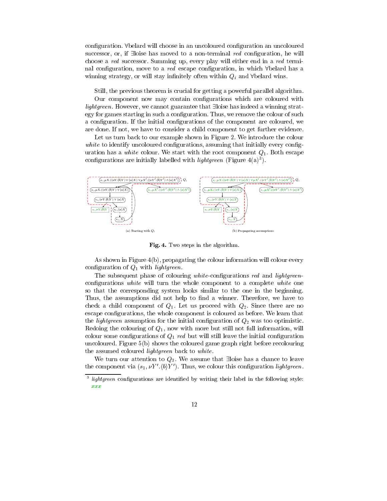configuration. V belard will choose in an uncoloured configuration an uncoloured successor, or, if  $\exists$ loise has moved to a non-terminal red configuration, he will choose a red successor. Summing up, every play will either end in a red terminal configuration, move to a red escape configuration, in which  $\forall$ belard has a winning strategy, or will stay infinitely often within  $Q_i$  and  $\forall$ belard wins.

Still, the previous theorem is crucial for getting a powerful parallel algorithm.

Our component now may contain congurations which are coloured with lightgreen. However, we cannot guarantee that  $\exists$ loise has indeed a winning strategy for games starting in such a configuration. Thus, we remove the colour of such a configuration. If the initial configurations of the component are coloured, we are done. If not, we have to consider a child component to get further evidence.

Let us turn back to our example shown in Figure 2. We introduce the colour white to interest, white we can consequent that in assumpt that initially every consequently uration has a white colour. We start with the root component  $Q_1$ . Both escape configurations are initially fabelied with *uguigreen* (Figure 4(a)°).



Fig. 4. Two steps in the algorithm.

As shown in Figure 4(b), propagating the colour information will colour every common contraction of  $\mathcal{L}_1$  with lightly contractions of  $\mathcal{L}_2$ 

The subsequent phase of colouring *white*-configurations red and *lightgreen*configurations white will turn the whole component to a complete white one so that the corresponding system looks similar to the one in the beginning. Thus, the assumptions did not help to find a winner. Therefore, we have to check a child component of  $Q_1$ . Let us proceed with  $Q_2$ . Since there are no escape configurations, the whole component is coloured as before. We learn that the lightgreen assumption for the initial conguration of Q2 was too optimistic. Redoing the colouring of  $Q_1$ , now with more but still not full information, will colour some congurations of Q1 red but will still leave the initial conguration uncoloured. Figure 5(b) shows the coloured game graph right before recolouring the assumed coloured *lightgreen* back to white.

We turn our attention to  $Q_3$ . We assume that Eloise has a chance to leave the component via  $(s_1, \nu Y'.\langle b \rangle Y')$ . Thus, we colour this configuration lightgreen.

 $\mu q$ nt $q$ reen configurations are identified by writing their label in the following style:  $xxx$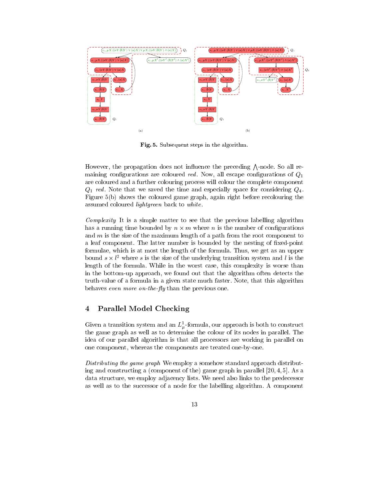

Fig. 5. Subsequent steps in the algorithm.

However, the propagation does not influence the preceding  $\Lambda$ -node. So all remaining configurations are coloured *red*. Now, all escape configurations of  $Q_1$ are coloured and a further colouring process will colour the complete component  $Q_1$  red . Note that we saved the time and especially space for considering  $Q_4$ . Figure 5(b) shows the coloured game graph, again right before recolouring the assumed coloured *lightgreen* back to white.

Complexity It is a simple matter to see that the previous labelling algorithm has a running time bounded by <sup>n</sup> - <sup>m</sup> where <sup>n</sup> is the number of congurations and  $m$  is the size of the maximum length of a path from the root component to a leaf component. The latter number is bounded by the nesting of fixed-point formulae, which is at most the length of the formula. Thus, we get as an upper bound  $s \times t^-$  where  $s$  is the size of the underlying transition system and  $t$  is the length of the formula. While in the worst case, this complexity is worse than in the bottom-up approach, we found out that the algorithm often detects the truth-value of a formula in a given state much faster. Note, that this algorithm behaves even more on-the- $fly$  than the previous one.

### 4Parallel Model Checking

Given a transition system and an  $L^u_\mu$ -formula, our approach is both to construct the game graph as well as to determine the colour of its nodes in parallel. The idea of our parallel algorithm is that all processors are working in parallel on one component, whereas the components are treated one-by-one.

 $D$  istributing the game graph We employ a somehow standard approach distributing and constructing a (component of the) game graph in parallel [20, 4, 5]. As a data structure, we employ adjacency lists. We need also links to the predecessor as well as to the successor of a node for the labelling algorithm. A component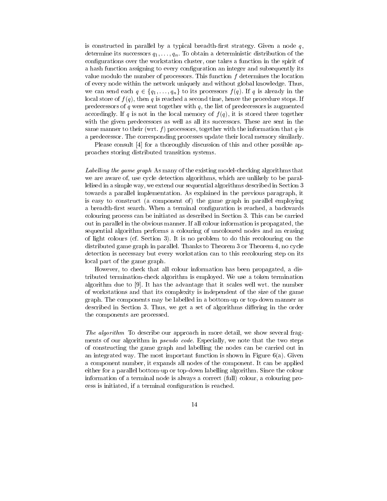is constructed in parallel by a typical breadth-first strategy. Given a node  $q$ , determine its successors  $q_1, \ldots, q_n$ . To obtain a deterministic distribution of the configurations over the workstation cluster, one takes a function in the spirit of a hash function assigning to every configuration an integer and subsequently its value modulo the number of processors. This function  $f$  determines the location of every node within the network uniquely and without global knowledge. Thus, we can send each  $q \in \{q_1,\ldots,q_n\}$  to its processors  $f(q)$ . If q is already in the local store of  $f(q)$ , then q is reached a second time, hence the procedure stops. If predecessors of q were sent together with  $q$ , the list of predecessors is augmented accordingly. If q is not in the local memory of  $f(q)$ , it is stored there together with the given predecessors as well as all its successors. These are sent in the same manner to their (wrt. f) processors, together with the information that q is a predecessor. The corresponding processes update their local memory similarly.

Please consult [4] for a thoroughly discussion of this and other possible approaches storing distributed transition systems.

Labeling the game graph As many of the existing model-checking algorithms that we are aware of, use cycle detection algorithms, which are unlikely to be parallelised in a simple way, we extend our sequential algorithms described in Section 3 towards a parallel implementation. As explained in the previous paragraph, it is easy to construct (a component of) the game graph in parallel employing a breadth-first search. When a terminal configuration is reached, a backwards colouring process can be initiated as described in Section 3. This can be carried out in parallel in the obvious manner. If all colour information is propagated, the sequential algorithm performs a colouring of uncoloured nodes and an erasing of light colours (cf. Section 3). It is no problem to do this recolouring on the distributed game graph in parallel. Thanks to Theorem 3 or Theorem 4, no cycle detection is necessary but every workstation can to this recolouring step on its local part of the game graph.

However, to check that all colour information has been propagated, a distributed termination-check algorithm is employed. We use a token termination algorithm due to [9]. It has the advantage that it scales well wrt. the number of workstations and that its complexity is independent of the size of the game graph. The components may be labelled in a bottom-up or top-down manner as described in Section 3. Thus, we get a set of algorithms differing in the order the components are processed.

The algorithm To describe our approach in more detail, we show several fragments of our algorithm in *pseudo code*. Especially, we note that the two steps of constructing the game graph and labelling the nodes can be carried out in an integrated way. The most important function is shown in Figure  $6(a)$ . Given a component number, it expands all nodes of the component. It can be applied either for a parallel bottom-up or top-down labelling algorithm. Since the colour information of a terminal node is always a correct (full) colour, a colouring process is initiated, if a terminal conguration is reached.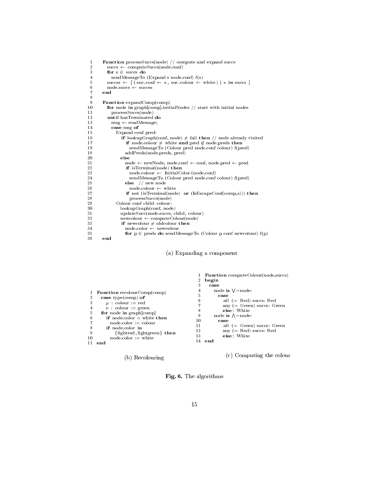| 1              | <b>Function</b> processSuccs(node) // compute and expand succs                                |  |  |  |
|----------------|-----------------------------------------------------------------------------------------------|--|--|--|
| $\,2$          | $success \leftarrow computeSuccess(node.config)$                                              |  |  |  |
| 3              | for $s \in$ succs do                                                                          |  |  |  |
| 4              | sendMessageTo (Expand s node.conf) f(s)                                                       |  |  |  |
| 5              | succss $\leftarrow$ [ (suc.conf $\leftarrow$ s, suc.colour $\leftarrow$ white)   s in succs ] |  |  |  |
| $\,6\,$        | $node$ succs $\leftarrow$ succss                                                              |  |  |  |
| $\overline{7}$ | end                                                                                           |  |  |  |
| $\,$ 8 $\,$    |                                                                                               |  |  |  |
| 9              | <b>Function</b> $expandComp(comp)$                                                            |  |  |  |
| 10             | for node in graph complinitial Nodes // start with initial nodes                              |  |  |  |
| 11             | processSuccs(node)                                                                            |  |  |  |
| 12             | until hasTerminated do                                                                        |  |  |  |
| 13             | $msg \leftarrow readMessage;$                                                                 |  |  |  |
| 14             | case msg of                                                                                   |  |  |  |
| 15             | Expand conf pred:                                                                             |  |  |  |
| 16             | if lookupGraph(conf, node) $\neq$ fail then // node already visited                           |  |  |  |
| 17             | if node.colour $\neq$ white and pred $\notin$ node.preds then                                 |  |  |  |
| 18             | sendMessageTo (Colour pred node.conf colour) f(pred)                                          |  |  |  |
| 19             | addPreds(node.preds, pred)                                                                    |  |  |  |
| 20             | else                                                                                          |  |  |  |
| 21             | $node \leftarrow newNode, node.config \leftarrow conf, node,pred \leftarrow pred$             |  |  |  |
| 22             | if is Terminal(node) then                                                                     |  |  |  |
| 23             | $node-colour \leftarrow InitialColor (node.conf)$                                             |  |  |  |
| 24             | sendMessageTo (Colour pred node.conf colour) f(pred)                                          |  |  |  |
| 25             | else $//$ new node                                                                            |  |  |  |
| 26             | node.colour $\leftarrow$ white                                                                |  |  |  |
| 27             | <b>if</b> not (isTerminal(node) or $(IsEscapeConfig(comp, s))$ then                           |  |  |  |
| 28             | processSuccs(node)                                                                            |  |  |  |
| 29             | Colour conf child colour:                                                                     |  |  |  |
| 30             | lookupGraph(conf, node)                                                                       |  |  |  |
| 31             | updateSucc(node.succs, child, colour)                                                         |  |  |  |
| 32             | $newcolour \leftarrow computeColor(node)$                                                     |  |  |  |
| 33             | if newcolour $\neq$ oldcolour then                                                            |  |  |  |
| 34             | node.color ← newcolour                                                                        |  |  |  |
| 35             | for $p \in \text{preds}$ do sendMessageTo (Colour p conf newcolour) $f(p)$                    |  |  |  |
| 36             | end                                                                                           |  |  |  |

(a) Expanding a component

|    |                                                                                                                                                                                                                                   |    | <b>Function</b> computeColour(node,succs) |
|----|-----------------------------------------------------------------------------------------------------------------------------------------------------------------------------------------------------------------------------------|----|-------------------------------------------|
|    |                                                                                                                                                                                                                                   | 2  | begin                                     |
|    |                                                                                                                                                                                                                                   | 3  | case                                      |
|    | <b>Function</b> recolour $Comp(comp)$<br>case type $\text{comp}$ of<br>$\mu$ : colour := red<br>$\nu$ : colour := green<br>for node in graph [comp]<br>if node,color $=$ white then<br>$node-color := colour$<br>if node.color in | 4  | node is $V$ -node:                        |
|    |                                                                                                                                                                                                                                   | 5  | case                                      |
| 3  |                                                                                                                                                                                                                                   | 6  | all $(=$ Red) succs: Red                  |
|    |                                                                                                                                                                                                                                   | 7  | any $($ = Green) succs: Green             |
| 5  |                                                                                                                                                                                                                                   | 8  | else: White                               |
| 6  |                                                                                                                                                                                                                                   | 9  | node is $\Lambda$ -node:                  |
|    |                                                                                                                                                                                                                                   | 10 | case                                      |
| 8  |                                                                                                                                                                                                                                   | 11 | all $($ Green) succs: Green               |
| 9  |                                                                                                                                                                                                                                   | 12 | any $(=$ Red) succs: Red                  |
|    | {lightred, lightgreen} then                                                                                                                                                                                                       | 13 | else: White                               |
| 10 | $node-color := white$                                                                                                                                                                                                             | 14 | end                                       |
|    | end                                                                                                                                                                                                                               |    |                                           |
|    |                                                                                                                                                                                                                                   |    |                                           |

(b) Recolouring

(c) Computing the colour

Fig. 6. The algorithms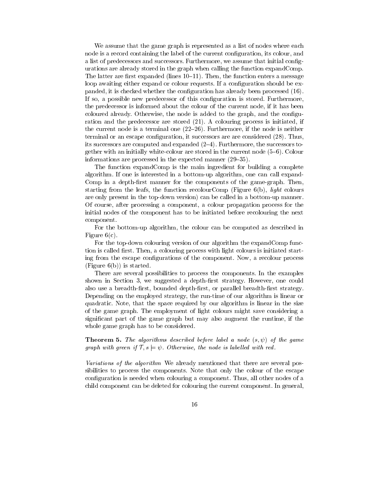We assume that the game graph is represented as a list of nodes where each node is a record containing the label of the current conguration, its colour, and a list of predecessors and successors. Furthermore, we assume that initial congurations are already stored in the graph when calling the function expandComp. The latter are first expanded (lines  $10-11$ ). Then, the function enters a message loop awaiting either expand or colour requests. If a configuration should be expanded, it is checked whether the conguration has already been processed (16). If so, a possible new predecessor of this conguration is stored. Furthermore, the predecessor is informed about the colour of the current node, if it has been coloured already. Otherwise, the node is added to the graph, and the configuration and the predecessor are stored (21). A colouring process is initiated, if the current node is a terminal one  $(22-26)$ . Furthermore, if the node is neither terminal or an escape configuration, it successors are are considered  $(28)$ . Thus, its successors are computed and expanded  $(2-4)$ . Furthermore, the successors together with an initially white-colour are stored in the current node  $(5-6)$ . Colour informations are processed in the expected manner  $(29-35)$ .

The function expandComp is the main ingredient for building a complete algorithm. If one is interested in a bottom-up algorithm, one can call expand-Comp in a depth-first manner for the components of the game-graph. Then, starting from the leafs, the function recolourComp (Figure  $6(b)$ , *light* colours are only present in the top-down version) can be called in a bottom-up manner. Of course, after processing a component, a colour propagation process for the initial nodes of the component has to be initiated before recolouring the next component.

For the bottom-up algorithm, the colour can be computed as described in Figure 6(c).

For the top-down colouring version of our algorithm the expandComp function is called first. Then, a colouring process with light colours is initiated starting from the escape configurations of the component. Now, a recolour process  $(Figure 6(b))$  is started.  $\mathbf{F}$  and  $\mathbf{F}$  is started.

There are several possibilities to process the components. In the examples shown in Section 3, we suggested a depth-first strategy. However, one could also use a breadth-first, bounded depth-first, or parallel breadth-first strategy. Depending on the employed strategy, the run-time of our algorithm is linear or quadratic. Note, that the space required by our algorithm is linear in the size of the game graph. The employment of light colours might save considering a signicant part of the game graph but may also augment the runtime, if the whole game graph has to be considered.

**THEOREM 5.** The algorithms described before label a node  $(s, \psi)$  of the game graph with green  $\eta$   $\eta$ ,  $s = \psi$ . Otherwise, the node is labelled with red.

Variations of the algorithm We already mentioned that there are several possibilities to process the components. Note that only the colour of the escape configuration is needed when colouring a component. Thus, all other nodes of a child component can be deleted for colouring the current component. In general,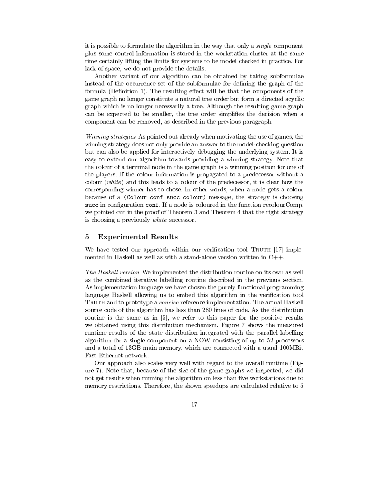it is possible to formulate the algorithm in the way that only a single component plus some control information is stored in the workstation cluster at the same time certainly lifting the limits for systems to be model checked in practice. For lack of space, we do not provide the details.

Another variant of our algorithm can be obtained by taking subformulae instead of the occurrence set of the subformulae for defining the graph of the formula (Definition 1). The resulting effect will be that the components of the game graph no longer constitute a natural tree order but form a directed acyclic graph which is no longer necessarily a tree. Although the resulting game graph can be expected to be smaller, the tree order simplifies the decision when a component can be removed, as described in the previous paragraph.

Winning strategies As pointed out already when motivating the use of games, the winning strategy does not only provide an answer to the model-checking question but can also be applied for interactively debugging the underlying system. It is easy to extend our algorithm towards providing a winning strategy. Note that the colour of a terminal node in the game graph is a winning position for one of the players. If the colour information is propagated to a predecessor without a colour  $(white)$  and this leads to a colour of the predecessor, it is clear how the corresponding winner has to chose. In other words, when a node gets a colour because of a (Colour conf succ colour) message, the strategy is choosing succ in configuration conf. If a node is coloured in the function recolourComp, we pointed out in the proof of Theorem 3 and Theorem 4 that the right strategy is choosing a previously white successor.

### 5Experimental Results

We have tested our approach within our verification tool TRUTH [17] implemented in Haskell as well as with a stand-alone version written in  $C++$ .

The Haskel l version We implemented the distribution routine on its own as well as the combined iterative labelling routine described in the previous section. As implementation language we have chosen the purely functional programming language Haskell allowing us to embed this algorithm in the verification tool TRUTH and to prototype a *concise* reference implementation. The actual Haskell source code of the algorithm has less than 280 lines of code. As the distribution routine is the same as in [5], we refer to this paper for the positive results we obtained using this distribution mechanism. Figure 7 shows the measured runtime results of the state distribution integrated with the parallel labelling algorithm for a single component on a NOW consisting of up to 52 processors and a total of 13GB main memory, which are connected with a usual 100MBit Fast-Ethernet network.

Our approach also scales very well with regard to the overall runtime (Figure 7). Note that, because of the size of the game graphs we inspected, we did not get results when running the algorithm on less than five workstations due to memory restrictions. Therefore, the shown speedups are calculated relative to 5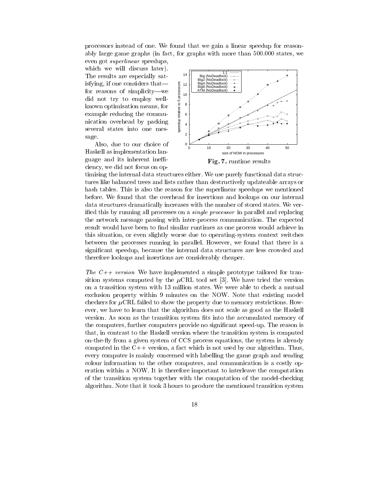processors instead of one. We found that we gain a linear speedup for reasonably large game graphs (in fact, for graphs with more than 500.000 states, we

even got superlinear speedups, which we will discuss later). The results are especially satisfying, if one considers that—<br>for reasons of simplicity—we<br>did not try to employ well-<br>known optimisation means, for<br>example reducing the commu-<br>nication overhead by packing<br>several states into one mesfor reasons of simplicity-we did not try to employ wellknown optimisation means, for example reducing the communication overhead by packing several states into one message.

Also, due to our choice of Haskell as implementation language and its inherent inefficiency, we did not focus on op-



Fig. 7. runtime results

timising the internal data structures either. We use purely functional data structures like balanced trees and lists rather than destructively updateable arrays or hash tables. This is also the reason for the superlinear speedups we mentioned before. We found that the overhead for insertions and lookups on our internal data structures dramatically increases with the number of stored states. We verified this by running all processes on a *single processor* in parallel and replacing the network message passing with inter-process communication. The expected result would have been to find similar runtimes as one process would achieve in this situation, or even slightly worse due to operating-system context switches between the processes running in parallel. However, we found that there is a signicant speedup, because the internal data structures are less crowded and therefore lookups and insertions are considerably cheaper.

The C++ version We have implemented a simple prototype tailored for transition systems computed by the  $\mu$ CRL tool set [3]. We have tried the version on a transition system with 13 million states. We were able to checkamutual exclusion property within 9 minutes on the NOW. Note that existing model checkers for  $\mu$ CRL failed to show the property due to memory restrictions. However, we have to learn that the algorithm does not scale as good as the Haskell version. As soon as the transition system fits into the accumulated memory of the computers, further computers provide no signicant speed-up. The reason is that, in contrast to the Haskell version where the transition system is computed on-they from a given system of CCS process equations, the system is already computed in the  $C++$  version, a fact which is not used by our algorithm. Thus, every computer is mainly concerned with labelling the game graph and sending colour information to the other computers, and communication is a costly operation within a NOW. It is therefore important to interleave the computation of the transition system together with the computation of the model-checking algorithm. Note that it took 3 hours to produce the mentioned transition system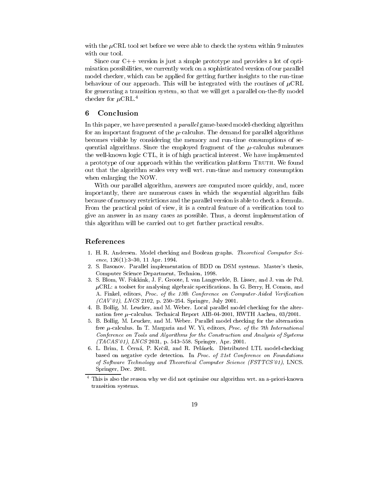with the  $\mu$ CRL tool set before we were able to check the system within 9 minutes with our tool.

Since our C++ version is just a simple prototype and provides a lot of optimisation possibilities, we currently work on a sophisticated version of our parallel model checker, which can be applied for getting further insights to the run-time behaviour of our approach. This will be integrated with the routines of  $\mu$ CRL for generating a transition system, so that we will get a parallel on-the-fly model checker for  $\mu$ CRL.<sup>4</sup>

#### 6Conclusion

In this paper, we have presented a *parallel* game-based model-checking algorithm for an important fragment of the  $\mu$ -calculus. The demand for parallel algorithms becomes visible by considering the memory and run-time consumptions of sequential algorithms. Since the employed fragment of the  $\mu$ -calculus subsumes the well-known logic CTL, it is of high practical interest. We have implemented a prototype of our approach within the verification platform TRUTH. We found out that the algorithm scales very well wrt. run-time and memory consumption when enlarging the NOW.

With our parallel algorithm, answers are computed more quickly, and, more importantly, there are numerous cases in which the sequential algorithm fails because of memory restrictions and the parallel version is able to check a formula. From the practical point of view, it is a central feature of a verification tool to give an answer in as many cases as possible. Thus, a decent implementation of this algorithm will be carried out to get further practical results.

## References

- 1. H. R. Andersen. Model checking and Boolean graphs. Theoretical Computer Sci ence,  $126(1):3-30$ , 11 Apr. 1994.
- 2. S. Basonov. Parallel implementation of BDD on DSM systems. Master's thesis, Computer Science Department, Technion, 1998.
- 3. S. Blom, W. Fokkink, J. F. Groote, I. van Langevelde, B. Lisser, and J. van de Pol.  $\mu$ CRL: a toolset for analysing algebraic specifications. In G. Berry, H. Comon, and A. Finkel, editors, Proc. of the 13th Conference on Computer-Aided Verification  $(CAV'01)$ ,  $LNCS$  2102, p. 250–254. Springer, July 2001.
- 4. B. Bollig, M. Leucker, and M. Weber. Local parallel model checking for the alternation free  $\mu$ -calculus. Technical Report AIB-04-2001, RWTH Aachen, 03/2001.
- 5. B. Bollig, M. Leucker, and M. Weber. Parallel model checking for the alternation free  $\mu$ -calculus. In T. Margaria and W. Yi, editors, *Proc. of the 7th International* Conference on Tools and Algorithms for the Construction and Analysis of Systems  $(TACAS'01)$ ,  $LNCS$  2031, p. 543-558. Springer, Apr. 2001.
- 6. L. Brim, I. Černá, P. Krčál, and R. Pelánek. Distributed LTL model-checking based on negative cycle detection. In Proc. of 21st Conference on Foundations of Software Technology and Theoretical Computer Science (FSTTCS'01), LNCS. Springer, Dec. 2001.

<sup>4</sup> This is also the reason why we did not optimise our algorithm wrt. an a-priori-known transition systems.